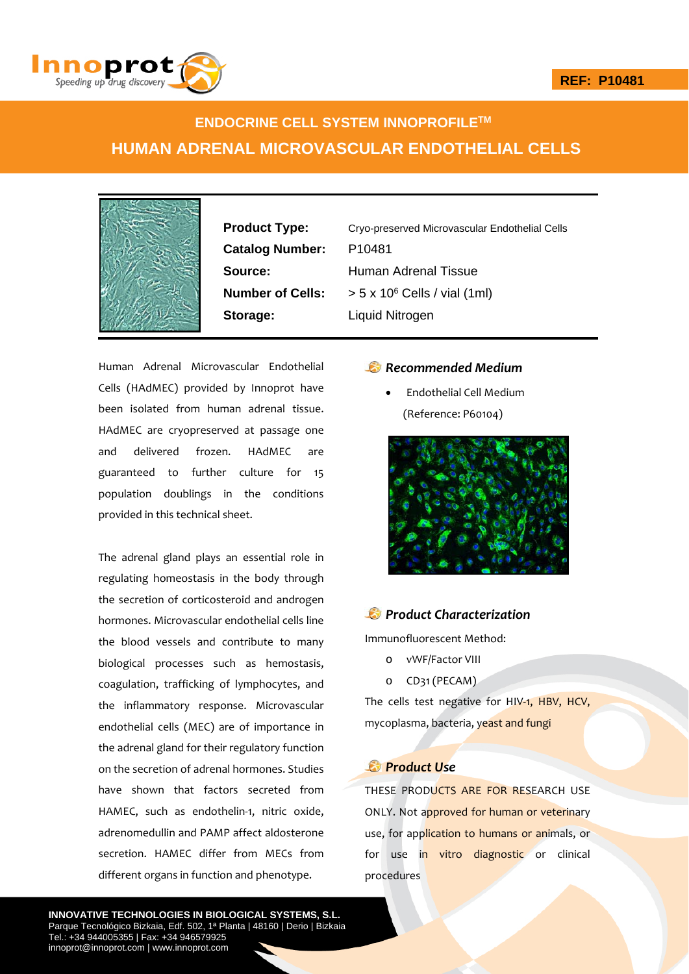

# **ENDOCRINE CELL SYSTEM INNOPROFILETM HUMAN ADRENAL MICROVASCULAR ENDOTHELIAL CELLS**



**Catalog Number:** P10481 **Storage:** Liquid Nitrogen

**Product Type:** Cryo-preserved Microvascular Endothelial Cells **Source:** Human Adrenal Tissue **Number of Cells:**  $> 5 \times 10^6$  Cells / vial (1ml)

Human Adrenal Microvascular Endothelial Cells (HAdMEC) provided by Innoprot have been isolated from human adrenal tissue. HAdMEC are cryopreserved at passage one and delivered frozen. HAdMEC are guaranteed to further culture for 15 population doublings in the conditions provided in this technical sheet.

The adrenal gland plays an essential role in regulating homeostasis in the body through the secretion of corticosteroid and androgen hormones. Microvascular endothelial cells line the blood vessels and contribute to many biological processes such as hemostasis, coagulation, trafficking of lymphocytes, and the inflammatory response. Microvascular endothelial cells (MEC) are of importance in the adrenal gland for their regulatory function on the secretion of adrenal hormones. Studies have shown that factors secreted from HAMEC, such as endothelin-1, nitric oxide, adrenomedullin and PAMP affect aldosterone secretion. HAMEC differ from MECs from different organs in function and phenotype.

### *Recommended Medium*

 Endothelial Cell Medium (Reference: P60104)



### *Product Characterization*

Immunofluorescent Method:

- o vWF/Factor VIII
- o CD31 (PECAM)

The cells test negative for HIV-1, HBV, HCV, mycoplasma, bacteria, yeast and fungi

## *Product Use*

THESE PRODUCTS ARE FOR RESEARCH USE ONLY. Not approved for human or veterinary use, for application to humans or animals, or for use in vitro diagnostic or clinical procedures

**INNOVATIVE TECHNOLOGIES IN BIOLOGICAL SYSTEMS, S.L.** Parque Tecnológico Bizkaia, Edf. 502, 1ª Planta | 48160 | Derio | Bizkaia Tel.: +34 944005355 | Fax: +34 946579925 innoprot@innoprot.com | www.innoprot.com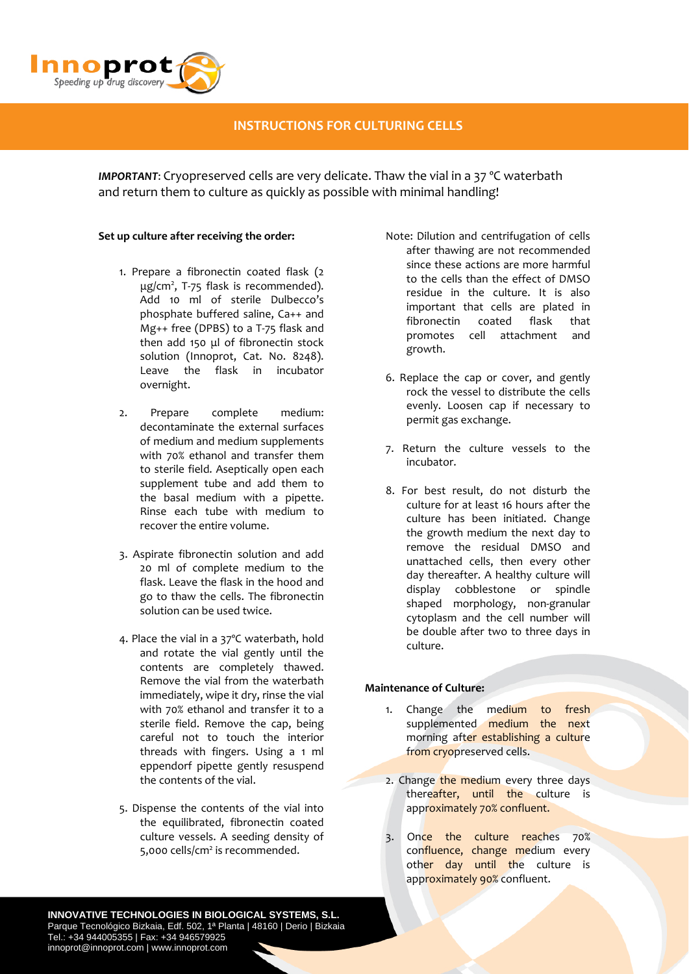

# **INSTRUCTIONS FOR CULTURING CELLS**

*IMPORTANT*: Cryopreserved cells are very delicate. Thaw the vial in a 37 ºC waterbath and return them to culture as quickly as possible with minimal handling!

### **Set up culture after receiving the order:**

- 1. Prepare a fibronectin coated flask (2 μg/cm2 , T‐75 flask is recommended). Add 10 ml of sterile Dulbecco's phosphate buffered saline, Ca++ and Mg++ free (DPBS) to a T‐75 flask and then add 150 μl of fibronectin stock solution (Innoprot, Cat. No. 8248). Leave the flask in incubator overnight.
- 2. Prepare complete medium: decontaminate the external surfaces of medium and medium supplements with 70% ethanol and transfer them to sterile field. Aseptically open each supplement tube and add them to the basal medium with a pipette. Rinse each tube with medium to recover the entire volume.
- 3. Aspirate fibronectin solution and add 20 ml of complete medium to the flask. Leave the flask in the hood and go to thaw the cells. The fibronectin solution can be used twice.
- 4. Place the vial in a 37ºC waterbath, hold and rotate the vial gently until the contents are completely thawed. Remove the vial from the waterbath immediately, wipe it dry, rinse the vial with 70% ethanol and transfer it to a sterile field. Remove the cap, being careful not to touch the interior threads with fingers. Using a 1 ml eppendorf pipette gently resuspend the contents of the vial.
- 5. Dispense the contents of the vial into the equilibrated, fibronectin coated culture vessels. A seeding density of 5,000 cells/cm<sup>2</sup> is recommended.
- Note: Dilution and centrifugation of cells after thawing are not recommended since these actions are more harmful to the cells than the effect of DMSO residue in the culture. It is also important that cells are plated in fibronectin coated flask that promotes cell attachment and growth.
- 6. Replace the cap or cover, and gently rock the vessel to distribute the cells evenly. Loosen cap if necessary to permit gas exchange.
- 7. Return the culture vessels to the incubator.
- 8. For best result, do not disturb the culture for at least 16 hours after the culture has been initiated. Change the growth medium the next day to remove the residual DMSO and unattached cells, then every other day thereafter. A healthy culture will display cobblestone or spindle shaped morphology, non‐granular cytoplasm and the cell number will be double after two to three days in culture.

### **Maintenance of Culture:**

- 1. Change the medium to fresh supplemented medium the next morning after establishing a culture from cryopreserved cells.
- 2. Change the medium every three days thereafter, until the culture is approximately 70% confluent.
- 3. Once the culture reaches 70% confluence, change medium every other day until the culture is approximately 90% confluent.

**INNOVATIVE TECHNOLOGIES IN BIOLOGICAL SYSTEMS, S.L.** Parque Tecnológico Bizkaia, Edf. 502, 1ª Planta | 48160 | Derio | Bizkaia Tel.: +34 944005355 | Fax: +34 946579925 innoprot@innoprot.com | www.innoprot.com